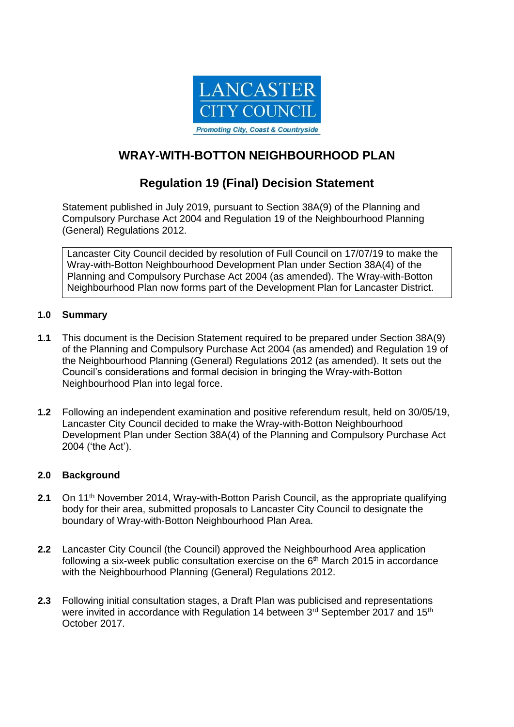

# **WRAY-WITH-BOTTON NEIGHBOURHOOD PLAN**

## **Regulation 19 (Final) Decision Statement**

Statement published in July 2019, pursuant to Section 38A(9) of the Planning and Compulsory Purchase Act 2004 and Regulation 19 of the Neighbourhood Planning (General) Regulations 2012.

Lancaster City Council decided by resolution of Full Council on 17/07/19 to make the Wray-with-Botton Neighbourhood Development Plan under Section 38A(4) of the Planning and Compulsory Purchase Act 2004 (as amended). The Wray-with-Botton Neighbourhood Plan now forms part of the Development Plan for Lancaster District.

### **1.0 Summary**

- **1.1** This document is the Decision Statement required to be prepared under Section 38A(9) of the Planning and Compulsory Purchase Act 2004 (as amended) and Regulation 19 of the Neighbourhood Planning (General) Regulations 2012 (as amended). It sets out the Council's considerations and formal decision in bringing the Wray-with-Botton Neighbourhood Plan into legal force.
- **1.2** Following an independent examination and positive referendum result, held on 30/05/19, Lancaster City Council decided to make the Wray-with-Botton Neighbourhood Development Plan under Section 38A(4) of the Planning and Compulsory Purchase Act 2004 ('the Act').

### **2.0 Background**

- **2.1** On 11th November 2014, Wray-with-Botton Parish Council, as the appropriate qualifying body for their area, submitted proposals to Lancaster City Council to designate the boundary of Wray-with-Botton Neighbourhood Plan Area.
- **2.2** Lancaster City Council (the Council) approved the Neighbourhood Area application following a six-week public consultation exercise on the  $6<sup>th</sup>$  March 2015 in accordance with the Neighbourhood Planning (General) Regulations 2012.
- **2.3** Following initial consultation stages, a Draft Plan was publicised and representations were invited in accordance with Regulation 14 between 3rd September 2017 and 15<sup>th</sup> October 2017.